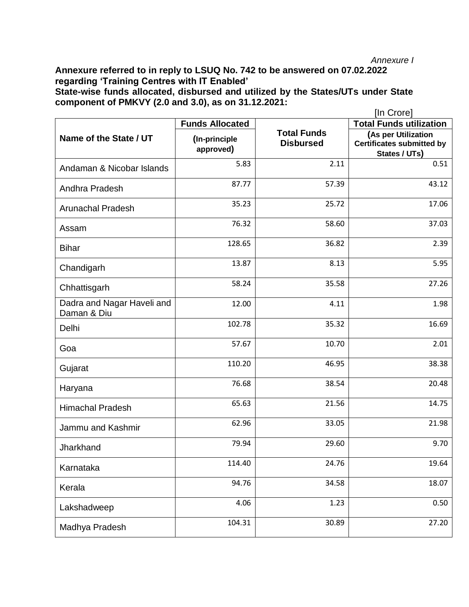## *Annexure I*

**Annexure referred to in reply to LSUQ No. 742 to be answered on 07.02.2022 regarding 'Training Centres with IT Enabled' State-wise funds allocated, disbursed and utilized by the States/UTs under State component of PMKVY (2.0 and 3.0), as on 31.12.2021:**

|                                           |                            |                                        | [In Crore]                                                               |
|-------------------------------------------|----------------------------|----------------------------------------|--------------------------------------------------------------------------|
|                                           | <b>Funds Allocated</b>     |                                        | <b>Total Funds utilization</b>                                           |
| Name of the State / UT                    | (In-principle<br>approved) | <b>Total Funds</b><br><b>Disbursed</b> | (As per Utilization<br><b>Certificates submitted by</b><br>States / UTs) |
| Andaman & Nicobar Islands                 | 5.83                       | 2.11                                   | 0.51                                                                     |
| Andhra Pradesh                            | 87.77                      | 57.39                                  | 43.12                                                                    |
| <b>Arunachal Pradesh</b>                  | 35.23                      | 25.72                                  | 17.06                                                                    |
| Assam                                     | 76.32                      | 58.60                                  | 37.03                                                                    |
| <b>Bihar</b>                              | 128.65                     | 36.82                                  | 2.39                                                                     |
| Chandigarh                                | 13.87                      | 8.13                                   | 5.95                                                                     |
| Chhattisgarh                              | 58.24                      | 35.58                                  | 27.26                                                                    |
| Dadra and Nagar Haveli and<br>Daman & Diu | 12.00                      | 4.11                                   | 1.98                                                                     |
| Delhi                                     | 102.78                     | 35.32                                  | 16.69                                                                    |
| Goa                                       | 57.67                      | 10.70                                  | 2.01                                                                     |
| Gujarat                                   | 110.20                     | 46.95                                  | 38.38                                                                    |
| Haryana                                   | 76.68                      | 38.54                                  | 20.48                                                                    |
| <b>Himachal Pradesh</b>                   | 65.63                      | 21.56                                  | 14.75                                                                    |
| Jammu and Kashmir                         | 62.96                      | 33.05                                  | 21.98                                                                    |
| Jharkhand                                 | 79.94                      | 29.60                                  | 9.70                                                                     |
| Karnataka                                 | 114.40                     | 24.76                                  | 19.64                                                                    |
| Kerala                                    | 94.76                      | 34.58                                  | 18.07                                                                    |
| Lakshadweep                               | 4.06                       | 1.23                                   | 0.50                                                                     |
| Madhya Pradesh                            | 104.31                     | 30.89                                  | 27.20                                                                    |